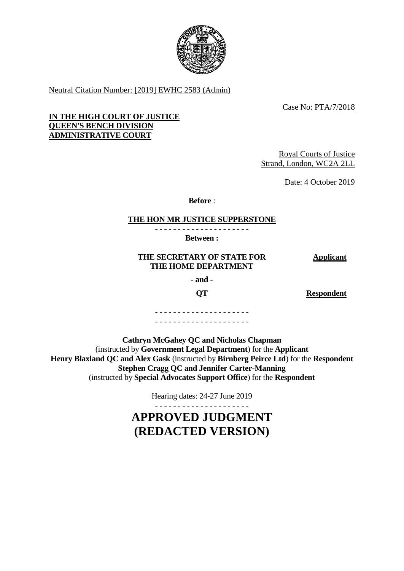

Neutral Citation Number: [2019] EWHC 2583 (Admin)

Case No: PTA/7/2018

## **IN THE HIGH COURT OF JUSTICE QUEEN'S BENCH DIVISION ADMINISTRATIVE COURT**

Royal Courts of Justice Strand, London, WC2A 2LL

Date: 4 October 2019

**Before** :

#### **THE HON MR JUSTICE SUPPERSTONE** - - - - - - - - - - - - - - - - - - - - -

**Between :**

## **THE SECRETARY OF STATE FOR THE HOME DEPARTMENT**

**Applicant**

**- and -**

**QT Respondent**

- - - - - - - - - - - - - - - - - - - - - - - - - - - - - - - - - - - - - - - - - -

**Cathryn McGahey QC and Nicholas Chapman** (instructed by **Government Legal Department**) for the **Applicant Henry Blaxland QC and Alex Gask** (instructed by **Birnberg Peirce Ltd**) for the **Respondent Stephen Cragg QC and Jennifer Carter-Manning**  (instructed by **Special Advocates Support Office**) for the **Respondent**

Hearing dates: 24-27 June 2019

# **APPROVED JUDGMENT (REDACTED VERSION)**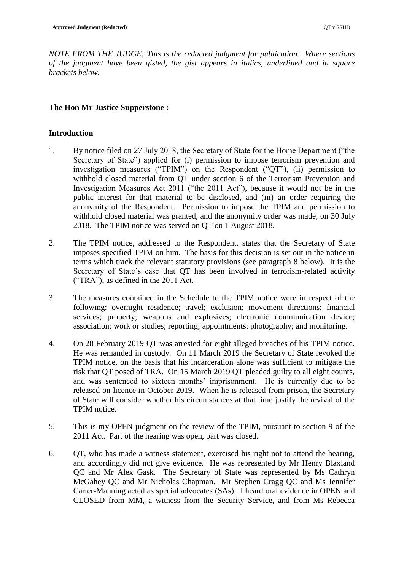*NOTE FROM THE JUDGE: This is the redacted judgment for publication. Where sections of the judgment have been gisted, the gist appears in italics, underlined and in square brackets below.*

# **The Hon Mr Justice Supperstone :**

## **Introduction**

- 1. By notice filed on 27 July 2018, the Secretary of State for the Home Department ("the Secretary of State") applied for (i) permission to impose terrorism prevention and investigation measures ("TPIM") on the Respondent ("QT"), (ii) permission to withhold closed material from QT under section 6 of the Terrorism Prevention and Investigation Measures Act 2011 ("the 2011 Act"), because it would not be in the public interest for that material to be disclosed, and (iii) an order requiring the anonymity of the Respondent. Permission to impose the TPIM and permission to withhold closed material was granted, and the anonymity order was made, on 30 July 2018. The TPIM notice was served on QT on 1 August 2018.
- 2. The TPIM notice, addressed to the Respondent, states that the Secretary of State imposes specified TPIM on him. The basis for this decision is set out in the notice in terms which track the relevant statutory provisions (see paragraph 8 below). It is the Secretary of State's case that QT has been involved in terrorism-related activity ("TRA"), as defined in the 2011 Act.
- 3. The measures contained in the Schedule to the TPIM notice were in respect of the following: overnight residence; travel; exclusion; movement directions; financial services; property; weapons and explosives; electronic communication device; association; work or studies; reporting; appointments; photography; and monitoring.
- 4. On 28 February 2019 QT was arrested for eight alleged breaches of his TPIM notice. He was remanded in custody. On 11 March 2019 the Secretary of State revoked the TPIM notice, on the basis that his incarceration alone was sufficient to mitigate the risk that QT posed of TRA. On 15 March 2019 QT pleaded guilty to all eight counts, and was sentenced to sixteen months' imprisonment. He is currently due to be released on licence in October 2019. When he is released from prison, the Secretary of State will consider whether his circumstances at that time justify the revival of the TPIM notice.
- 5. This is my OPEN judgment on the review of the TPIM, pursuant to section 9 of the 2011 Act. Part of the hearing was open, part was closed.
- 6. QT, who has made a witness statement, exercised his right not to attend the hearing, and accordingly did not give evidence. He was represented by Mr Henry Blaxland QC and Mr Alex Gask. The Secretary of State was represented by Ms Cathryn McGahey QC and Mr Nicholas Chapman. Mr Stephen Cragg QC and Ms Jennifer Carter-Manning acted as special advocates (SAs). I heard oral evidence in OPEN and CLOSED from MM, a witness from the Security Service, and from Ms Rebecca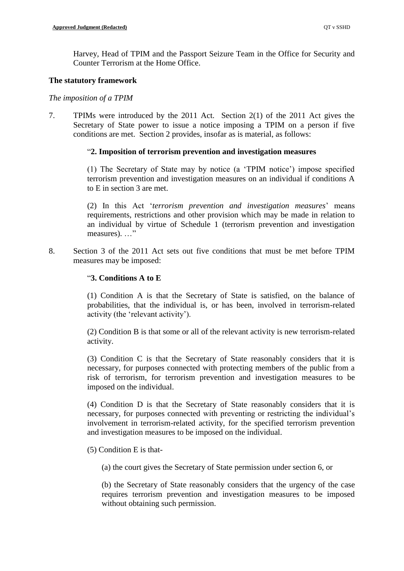Harvey, Head of TPIM and the Passport Seizure Team in the Office for Security and Counter Terrorism at the Home Office.

#### **The statutory framework**

#### *The imposition of a TPIM*

7. TPIMs were introduced by the 2011 Act. Section 2(1) of the 2011 Act gives the Secretary of State power to issue a notice imposing a TPIM on a person if five conditions are met. Section 2 provides, insofar as is material, as follows:

## "**2. Imposition of terrorism prevention and investigation measures**

(1) The Secretary of State may by notice (a 'TPIM notice') impose specified terrorism prevention and investigation measures on an individual if conditions A to E in section 3 are met.

(2) In this Act '*terrorism prevention and investigation measures*' means requirements, restrictions and other provision which may be made in relation to an individual by virtue of Schedule 1 (terrorism prevention and investigation measures). ..."

8. Section 3 of the 2011 Act sets out five conditions that must be met before TPIM measures may be imposed:

## "**3. Conditions A to E**

(1) Condition A is that the Secretary of State is satisfied, on the balance of probabilities, that the individual is, or has been, involved in terrorism-related activity (the 'relevant activity').

(2) Condition B is that some or all of the relevant activity is new terrorism-related activity.

(3) Condition C is that the Secretary of State reasonably considers that it is necessary, for purposes connected with protecting members of the public from a risk of terrorism, for terrorism prevention and investigation measures to be imposed on the individual.

(4) Condition D is that the Secretary of State reasonably considers that it is necessary, for purposes connected with preventing or restricting the individual's involvement in terrorism-related activity, for the specified terrorism prevention and investigation measures to be imposed on the individual.

(5) Condition E is that-

(a) the court gives the Secretary of State permission under section 6, or

(b) the Secretary of State reasonably considers that the urgency of the case requires terrorism prevention and investigation measures to be imposed without obtaining such permission.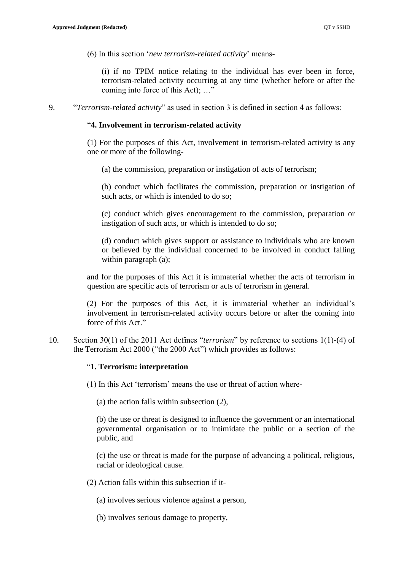(6) In this section '*new terrorism-related activity*' means-

(i) if no TPIM notice relating to the individual has ever been in force, terrorism-related activity occurring at any time (whether before or after the coming into force of this Act); …"

9. "*Terrorism-related activity*" as used in section 3 is defined in section 4 as follows:

#### "**4. Involvement in terrorism-related activity**

(1) For the purposes of this Act, involvement in terrorism-related activity is any one or more of the following-

(a) the commission, preparation or instigation of acts of terrorism;

(b) conduct which facilitates the commission, preparation or instigation of such acts, or which is intended to do so;

(c) conduct which gives encouragement to the commission, preparation or instigation of such acts, or which is intended to do so;

(d) conduct which gives support or assistance to individuals who are known or believed by the individual concerned to be involved in conduct falling within paragraph (a);

and for the purposes of this Act it is immaterial whether the acts of terrorism in question are specific acts of terrorism or acts of terrorism in general.

(2) For the purposes of this Act, it is immaterial whether an individual's involvement in terrorism-related activity occurs before or after the coming into force of this Act."

10. Section 30(1) of the 2011 Act defines "*terrorism*" by reference to sections 1(1)-(4) of the Terrorism Act 2000 ("the 2000 Act") which provides as follows:

## "**1. Terrorism: interpretation**

(1) In this Act 'terrorism' means the use or threat of action where-

(a) the action falls within subsection (2),

(b) the use or threat is designed to influence the government or an international governmental organisation or to intimidate the public or a section of the public, and

(c) the use or threat is made for the purpose of advancing a political, religious, racial or ideological cause.

- (2) Action falls within this subsection if it-
	- (a) involves serious violence against a person,
	- (b) involves serious damage to property,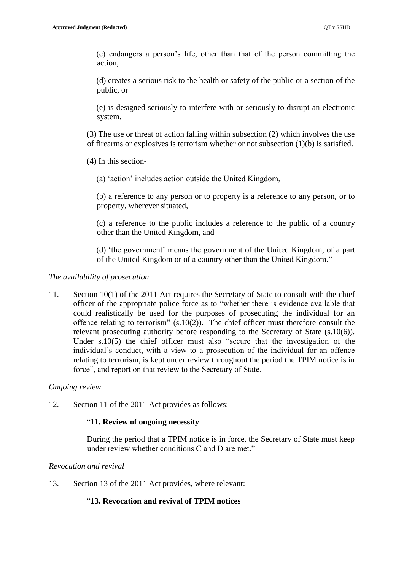(c) endangers a person's life, other than that of the person committing the action,

(d) creates a serious risk to the health or safety of the public or a section of the public, or

(e) is designed seriously to interfere with or seriously to disrupt an electronic system.

(3) The use or threat of action falling within subsection (2) which involves the use of firearms or explosives is terrorism whether or not subsection (1)(b) is satisfied.

(4) In this section-

(a) 'action' includes action outside the United Kingdom,

(b) a reference to any person or to property is a reference to any person, or to property, wherever situated,

(c) a reference to the public includes a reference to the public of a country other than the United Kingdom, and

(d) 'the government' means the government of the United Kingdom, of a part of the United Kingdom or of a country other than the United Kingdom."

## *The availability of prosecution*

11. Section 10(1) of the 2011 Act requires the Secretary of State to consult with the chief officer of the appropriate police force as to "whether there is evidence available that could realistically be used for the purposes of prosecuting the individual for an offence relating to terrorism" (s.10(2)). The chief officer must therefore consult the relevant prosecuting authority before responding to the Secretary of State (s.10(6)). Under s.10(5) the chief officer must also "secure that the investigation of the individual's conduct, with a view to a prosecution of the individual for an offence relating to terrorism, is kept under review throughout the period the TPIM notice is in force", and report on that review to the Secretary of State.

## *Ongoing review*

12. Section 11 of the 2011 Act provides as follows:

## "**11. Review of ongoing necessity**

During the period that a TPIM notice is in force, the Secretary of State must keep under review whether conditions C and D are met."

## *Revocation and revival*

13. Section 13 of the 2011 Act provides, where relevant:

# "**13. Revocation and revival of TPIM notices**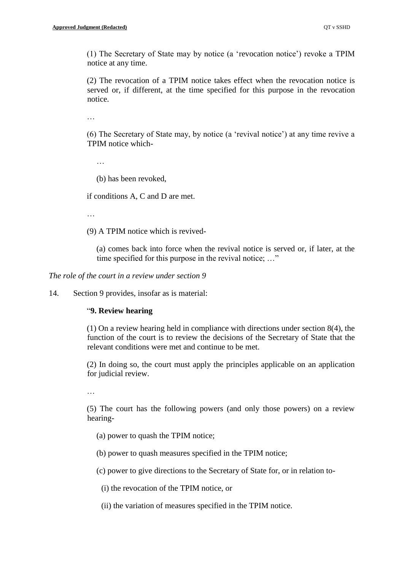(1) The Secretary of State may by notice (a 'revocation notice') revoke a TPIM notice at any time.

(2) The revocation of a TPIM notice takes effect when the revocation notice is served or, if different, at the time specified for this purpose in the revocation notice.

…

(6) The Secretary of State may, by notice (a 'revival notice') at any time revive a TPIM notice which-

…

(b) has been revoked,

if conditions A, C and D are met.

…

(9) A TPIM notice which is revived-

(a) comes back into force when the revival notice is served or, if later, at the time specified for this purpose in the revival notice; ..."

*The role of the court in a review under section 9*

14. Section 9 provides, insofar as is material:

#### "**9. Review hearing**

(1) On a review hearing held in compliance with directions under section 8(4), the function of the court is to review the decisions of the Secretary of State that the relevant conditions were met and continue to be met.

(2) In doing so, the court must apply the principles applicable on an application for judicial review.

…

(5) The court has the following powers (and only those powers) on a review hearing-

(a) power to quash the TPIM notice;

(b) power to quash measures specified in the TPIM notice;

(c) power to give directions to the Secretary of State for, or in relation to-

(i) the revocation of the TPIM notice, or

(ii) the variation of measures specified in the TPIM notice.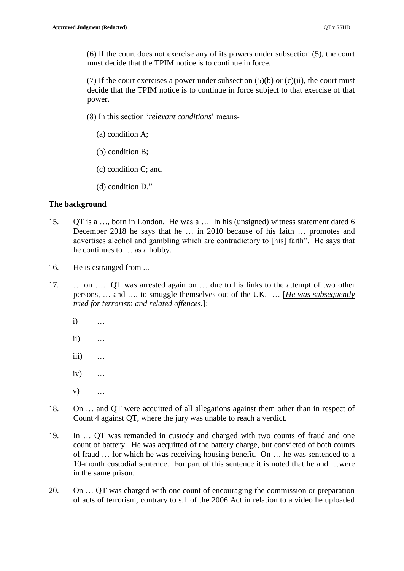(6) If the court does not exercise any of its powers under subsection (5), the court must decide that the TPIM notice is to continue in force.

(7) If the court exercises a power under subsection  $(5)(b)$  or  $(c)(ii)$ , the court must decide that the TPIM notice is to continue in force subject to that exercise of that power.

(8) In this section '*relevant conditions*' means-

- (a) condition A;
- (b) condition B;
- (c) condition C; and
- (d) condition D."

## **The background**

- 15. QT is a …, born in London. He was a … In his (unsigned) witness statement dated 6 December 2018 he says that he … in 2010 because of his faith … promotes and advertises alcohol and gambling which are contradictory to [his] faith". He says that he continues to … as a hobby.
- 16. He is estranged from ...
- 17. … on …. QT was arrested again on … due to his links to the attempt of two other persons, … and …, to smuggle themselves out of the UK. … [*He was subsequently tried for terrorism and related offences.*]:
	- i) …
	- ii) …
	- iii) …
	- iv) …
	- v) …
- 18. On … and QT were acquitted of all allegations against them other than in respect of Count 4 against QT, where the jury was unable to reach a verdict.
- 19. In … QT was remanded in custody and charged with two counts of fraud and one count of battery. He was acquitted of the battery charge, but convicted of both counts of fraud … for which he was receiving housing benefit. On … he was sentenced to a 10-month custodial sentence. For part of this sentence it is noted that he and …were in the same prison.
- 20. On … QT was charged with one count of encouraging the commission or preparation of acts of terrorism, contrary to s.1 of the 2006 Act in relation to a video he uploaded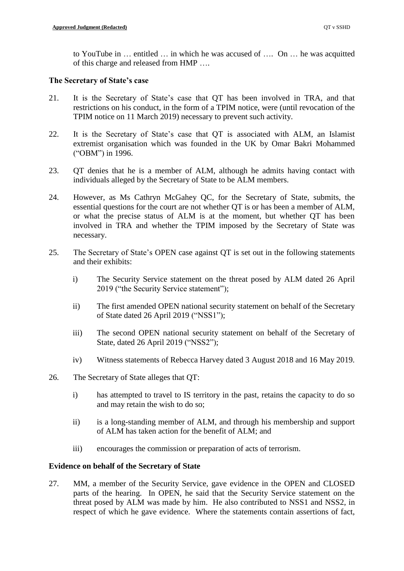to YouTube in … entitled … in which he was accused of …. On … he was acquitted of this charge and released from HMP ….

## **The Secretary of State's case**

- 21. It is the Secretary of State's case that QT has been involved in TRA, and that restrictions on his conduct, in the form of a TPIM notice, were (until revocation of the TPIM notice on 11 March 2019) necessary to prevent such activity.
- 22. It is the Secretary of State's case that QT is associated with ALM, an Islamist extremist organisation which was founded in the UK by Omar Bakri Mohammed ("OBM") in 1996.
- 23. QT denies that he is a member of ALM, although he admits having contact with individuals alleged by the Secretary of State to be ALM members.
- 24. However, as Ms Cathryn McGahey QC, for the Secretary of State, submits, the essential questions for the court are not whether QT is or has been a member of ALM, or what the precise status of ALM is at the moment, but whether QT has been involved in TRA and whether the TPIM imposed by the Secretary of State was necessary.
- 25. The Secretary of State's OPEN case against QT is set out in the following statements and their exhibits:
	- i) The Security Service statement on the threat posed by ALM dated 26 April 2019 ("the Security Service statement");
	- ii) The first amended OPEN national security statement on behalf of the Secretary of State dated 26 April 2019 ("NSS1");
	- iii) The second OPEN national security statement on behalf of the Secretary of State, dated 26 April 2019 ("NSS2");
	- iv) Witness statements of Rebecca Harvey dated 3 August 2018 and 16 May 2019.
- 26. The Secretary of State alleges that QT:
	- i) has attempted to travel to IS territory in the past, retains the capacity to do so and may retain the wish to do so;
	- ii) is a long-standing member of ALM, and through his membership and support of ALM has taken action for the benefit of ALM; and
	- iii) encourages the commission or preparation of acts of terrorism.

# **Evidence on behalf of the Secretary of State**

27. MM, a member of the Security Service, gave evidence in the OPEN and CLOSED parts of the hearing. In OPEN, he said that the Security Service statement on the threat posed by ALM was made by him. He also contributed to NSS1 and NSS2, in respect of which he gave evidence. Where the statements contain assertions of fact,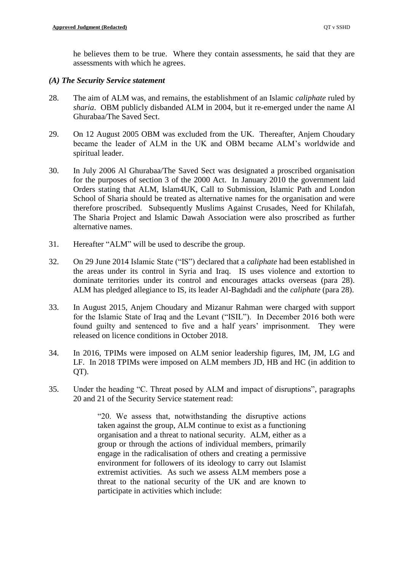he believes them to be true. Where they contain assessments, he said that they are assessments with which he agrees.

#### *(A) The Security Service statement*

- 28. The aim of ALM was, and remains, the establishment of an Islamic *caliphate* ruled by *sharia*. OBM publicly disbanded ALM in 2004, but it re-emerged under the name Al Ghurabaa/The Saved Sect.
- 29. On 12 August 2005 OBM was excluded from the UK. Thereafter, Anjem Choudary became the leader of ALM in the UK and OBM became ALM's worldwide and spiritual leader.
- 30. In July 2006 Al Ghurabaa/The Saved Sect was designated a proscribed organisation for the purposes of section 3 of the 2000 Act. In January 2010 the government laid Orders stating that ALM, Islam4UK, Call to Submission, Islamic Path and London School of Sharia should be treated as alternative names for the organisation and were therefore proscribed. Subsequently Muslims Against Crusades, Need for Khilafah, The Sharia Project and Islamic Dawah Association were also proscribed as further alternative names.
- 31. Hereafter "ALM" will be used to describe the group.
- 32. On 29 June 2014 Islamic State ("IS") declared that a *caliphate* had been established in the areas under its control in Syria and Iraq. IS uses violence and extortion to dominate territories under its control and encourages attacks overseas (para 28). ALM has pledged allegiance to IS, its leader Al-Baghdadi and the *caliphate* (para 28).
- 33. In August 2015, Anjem Choudary and Mizanur Rahman were charged with support for the Islamic State of Iraq and the Levant ("ISIL"). In December 2016 both were found guilty and sentenced to five and a half years' imprisonment. They were released on licence conditions in October 2018.
- 34. In 2016, TPIMs were imposed on ALM senior leadership figures, IM, JM, LG and LF. In 2018 TPIMs were imposed on ALM members JD, HB and HC (in addition to QT).
- 35. Under the heading "C. Threat posed by ALM and impact of disruptions", paragraphs 20 and 21 of the Security Service statement read:

"20. We assess that, notwithstanding the disruptive actions taken against the group, ALM continue to exist as a functioning organisation and a threat to national security. ALM, either as a group or through the actions of individual members, primarily engage in the radicalisation of others and creating a permissive environment for followers of its ideology to carry out Islamist extremist activities. As such we assess ALM members pose a threat to the national security of the UK and are known to participate in activities which include: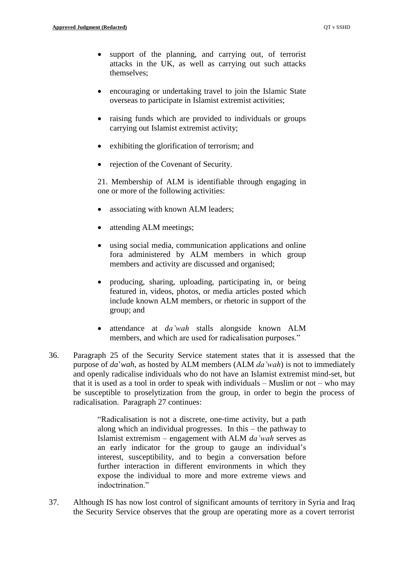- support of the planning, and carrying out, of terrorist attacks in the UK, as well as carrying out such attacks themselves;
- encouraging or undertaking travel to join the Islamic State overseas to participate in Islamist extremist activities;
- raising funds which are provided to individuals or groups carrying out Islamist extremist activity;
- exhibiting the glorification of terrorism; and
- rejection of the Covenant of Security.

21. Membership of ALM is identifiable through engaging in one or more of the following activities:

- associating with known ALM leaders;
- attending ALM meetings;
- using social media, communication applications and online fora administered by ALM members in which group members and activity are discussed and organised;
- producing, sharing, uploading, participating in, or being featured in, videos, photos, or media articles posted which include known ALM members, or rhetoric in support of the group; and
- attendance at *da'wah* stalls alongside known ALM members, and which are used for radicalisation purposes."
- 36. Paragraph 25 of the Security Service statement states that it is assessed that the purpose of *da*'*wah*, as hosted by ALM members (ALM *da'wah*) is not to immediately and openly radicalise individuals who do not have an Islamist extremist mind-set, but that it is used as a tool in order to speak with individuals – Muslim or not – who may be susceptible to proselytization from the group, in order to begin the process of radicalisation. Paragraph 27 continues:

"Radicalisation is not a discrete, one-time activity, but a path along which an individual progresses. In this – the pathway to Islamist extremism – engagement with ALM *da'wah* serves as an early indicator for the group to gauge an individual's interest, susceptibility, and to begin a conversation before further interaction in different environments in which they expose the individual to more and more extreme views and indoctrination."

37. Although IS has now lost control of significant amounts of territory in Syria and Iraq the Security Service observes that the group are operating more as a covert terrorist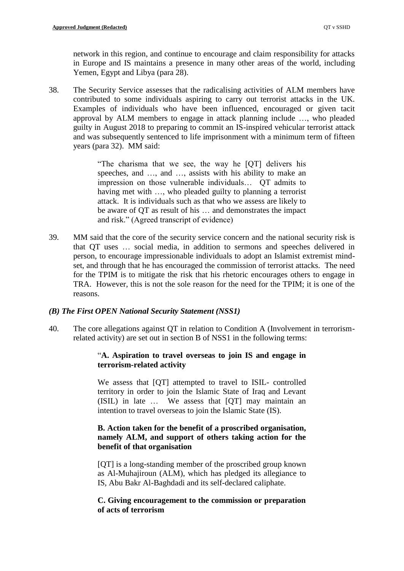network in this region, and continue to encourage and claim responsibility for attacks in Europe and IS maintains a presence in many other areas of the world, including Yemen, Egypt and Libya (para 28).

38. The Security Service assesses that the radicalising activities of ALM members have contributed to some individuals aspiring to carry out terrorist attacks in the UK. Examples of individuals who have been influenced, encouraged or given tacit approval by ALM members to engage in attack planning include …, who pleaded guilty in August 2018 to preparing to commit an IS-inspired vehicular terrorist attack and was subsequently sentenced to life imprisonment with a minimum term of fifteen years (para 32). MM said:

> "The charisma that we see, the way he [QT] delivers his speeches, and …, and …, assists with his ability to make an impression on those vulnerable individuals… QT admits to having met with …, who pleaded guilty to planning a terrorist attack. It is individuals such as that who we assess are likely to be aware of QT as result of his … and demonstrates the impact and risk." (Agreed transcript of evidence)

39. MM said that the core of the security service concern and the national security risk is that QT uses … social media, in addition to sermons and speeches delivered in person, to encourage impressionable individuals to adopt an Islamist extremist mindset, and through that he has encouraged the commission of terrorist attacks. The need for the TPIM is to mitigate the risk that his rhetoric encourages others to engage in TRA. However, this is not the sole reason for the need for the TPIM; it is one of the reasons.

## *(B) The First OPEN National Security Statement (NSS1)*

40. The core allegations against QT in relation to Condition A (Involvement in terrorismrelated activity) are set out in section B of NSS1 in the following terms:

## "**A. Aspiration to travel overseas to join IS and engage in terrorism-related activity**

We assess that [QT] attempted to travel to ISIL- controlled territory in order to join the Islamic State of Iraq and Levant (ISIL) in late … We assess that [QT] may maintain an intention to travel overseas to join the Islamic State (IS).

## **B. Action taken for the benefit of a proscribed organisation, namely ALM, and support of others taking action for the benefit of that organisation**

[QT] is a long-standing member of the proscribed group known as Al-Muhajiroun (ALM), which has pledged its allegiance to IS, Abu Bakr Al-Baghdadi and its self-declared caliphate.

## **C. Giving encouragement to the commission or preparation of acts of terrorism**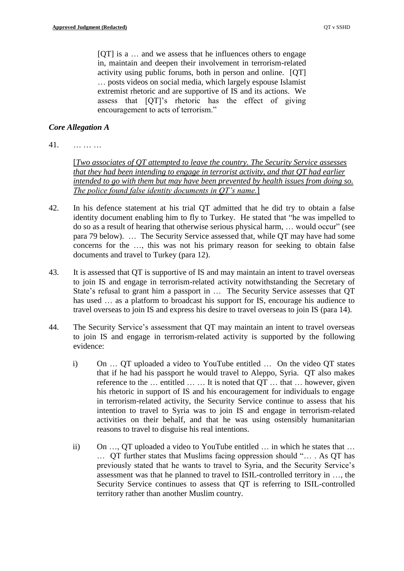[QT] is a … and we assess that he influences others to engage in, maintain and deepen their involvement in terrorism-related activity using public forums, both in person and online. [QT] … posts videos on social media, which largely espouse Islamist extremist rhetoric and are supportive of IS and its actions. We assess that [QT]'s rhetoric has the effect of giving encouragement to acts of terrorism."

## *Core Allegation A*

41. … … …

[*Two associates of QT attempted to leave the country. The Security Service assesses that they had been intending to engage in terrorist activity, and that QT had earlier intended to go with them but may have been prevented by health issues from doing so. The police found false identity documents in QT's name.*]

- 42. In his defence statement at his trial QT admitted that he did try to obtain a false identity document enabling him to fly to Turkey. He stated that "he was impelled to do so as a result of hearing that otherwise serious physical harm, … would occur" (see para 79 below). … The Security Service assessed that, while QT may have had some concerns for the …, this was not his primary reason for seeking to obtain false documents and travel to Turkey (para 12).
- 43. It is assessed that QT is supportive of IS and may maintain an intent to travel overseas to join IS and engage in terrorism-related activity notwithstanding the Secretary of State's refusal to grant him a passport in … The Security Service assesses that QT has used  $\ldots$  as a platform to broadcast his support for IS, encourage his audience to travel overseas to join IS and express his desire to travel overseas to join IS (para 14).
- 44. The Security Service's assessment that QT may maintain an intent to travel overseas to join IS and engage in terrorism-related activity is supported by the following evidence:
	- i) On … QT uploaded a video to YouTube entitled … On the video QT states that if he had his passport he would travel to Aleppo, Syria. QT also makes reference to the  $\dots$  entitled  $\dots$   $\dots$  It is noted that OT  $\dots$  that  $\dots$  however, given his rhetoric in support of IS and his encouragement for individuals to engage in terrorism-related activity, the Security Service continue to assess that his intention to travel to Syria was to join IS and engage in terrorism-related activities on their behalf, and that he was using ostensibly humanitarian reasons to travel to disguise his real intentions.
	- ii) On …, QT uploaded a video to YouTube entitled … in which he states that … … QT further states that Muslims facing oppression should "… . As QT has previously stated that he wants to travel to Syria, and the Security Service's assessment was that he planned to travel to ISIL-controlled territory in …, the Security Service continues to assess that QT is referring to ISIL-controlled territory rather than another Muslim country.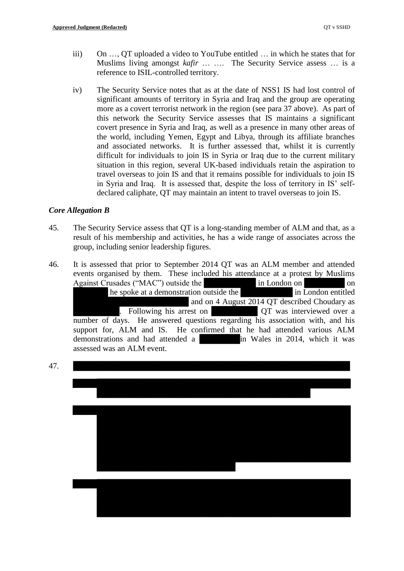- iii) On …, QT uploaded a video to YouTube entitled … in which he states that for Muslims living amongst *kafir* … …. The Security Service assess … is a reference to ISIL-controlled territory.
- iv) The Security Service notes that as at the date of NSS1 IS had lost control of significant amounts of territory in Syria and Iraq and the group are operating more as a covert terrorist network in the region (see para 37 above). As part of this network the Security Service assesses that IS maintains a significant covert presence in Syria and Iraq, as well as a presence in many other areas of the world, including Yemen, Egypt and Libya, through its affiliate branches and associated networks. It is further assessed that, whilst it is currently difficult for individuals to join IS in Syria or Iraq due to the current military situation in this region, several UK-based individuals retain the aspiration to travel overseas to join IS and that it remains possible for individuals to join IS in Syria and Iraq. It is assessed that, despite the loss of territory in IS' selfdeclared caliphate, QT may maintain an intent to travel overseas to join IS.

## *Core Allegation B*

- 45. The Security Service assess that QT is a long-standing member of ALM and that, as a result of his membership and activities, he has a wide range of associates across the group, including senior leadership figures.
- 46. It is assessed that prior to September 2014 QT was an ALM member and attended events organised by them. These included his attendance at a protest by Muslims Against Crusades ("MAC") outside the **EXEC in London on EXECUTE ON** on he spoke at a demonstration outside the in London entitled and on 4 August 2014 QT described Choudary as . Following his arrest on **EXECU** QT was interviewed over a number of days. He answered questions regarding his association with, and his support for, ALM and IS. He confirmed that he had attended various ALM demonstrations and had attended a **Exercise in Wales in 2014**, which it was assessed was an ALM event.

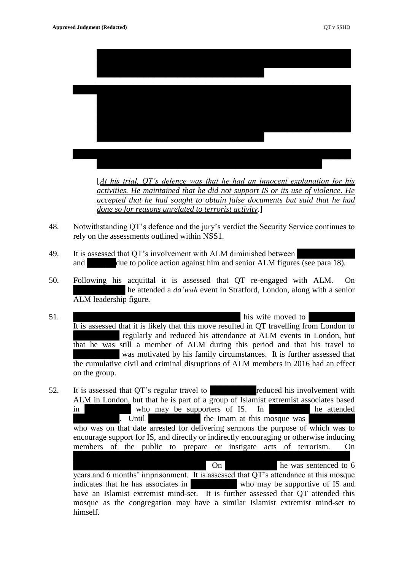

- 49. It is assessed that QT's involvement with ALM diminished between and due to police action against him and senior ALM figures (see para 18).
- 50. Following his acquittal it is assessed that QT re-engaged with ALM. On he attended a *da'wah* event in Stratford, London, along with a senior ALM leadership figure.
- 51. **BEEREN** EXECUTE **EXECUTE:** This wife moved to It is assessed that it is likely that this move resulted in QT travelling from London to regularly and reduced his attendance at ALM events in London, but that he was still a member of ALM during this period and that his travel to was motivated by his family circumstances. It is further assessed that the cumulative civil and criminal disruptions of ALM members in 2016 had an effect on the group.
- 52. It is assessed that OT's regular travel to reduced his involvement with ALM in London, but that he is part of a group of Islamist extremist associates based in who may be supporters of IS. In the attended ERRES Intil the Imam at this mosque was **ERRES** who was on that date arrested for delivering sermons the purpose of which was to encourage support for IS, and directly or indirectly encouraging or otherwise inducing members of the public to prepare or instigate acts of terrorism. On ███████████████████████ On █████████ he was sentenced to 6 years and 6 months' imprisonment. It is assessed that QT's attendance at this mosque

indicates that he has associates in who may be supportive of IS and have an Islamist extremist mind-set. It is further assessed that QT attended this mosque as the congregation may have a similar Islamist extremist mind-set to himself.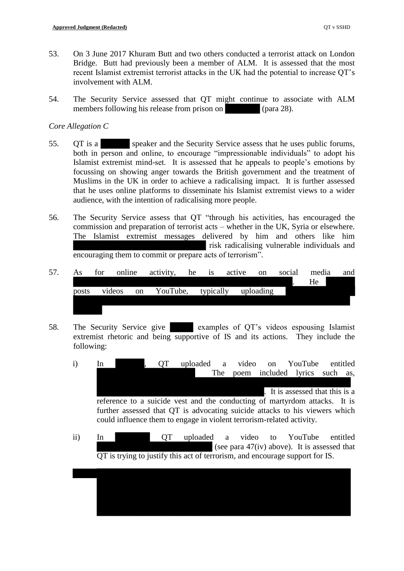- 53. On 3 June 2017 Khuram Butt and two others conducted a terrorist attack on London Bridge. Butt had previously been a member of ALM. It is assessed that the most recent Islamist extremist terrorist attacks in the UK had the potential to increase QT's involvement with ALM.
- 54. The Security Service assessed that QT might continue to associate with ALM members following his release from prison on  $\[\omega\]$  (para 28).

#### *Core Allegation C*

- 55. QT is a speaker and the Security Service assess that he uses public forums, both in person and online, to encourage "impressionable individuals" to adopt his Islamist extremist mind-set. It is assessed that he appeals to people's emotions by focussing on showing anger towards the British government and the treatment of Muslims in the UK in order to achieve a radicalising impact. It is further assessed that he uses online platforms to disseminate his Islamist extremist views to a wider audience, with the intention of radicalising more people.
- 56. The Security Service assess that QT "through his activities, has encouraged the commission and preparation of terrorist acts – whether in the UK, Syria or elsewhere. The Islamist extremist messages delivered by him and others like him risk radicalising vulnerable individuals and encouraging them to commit or prepare acts of terrorism".
- 57. As for online activity, he is active on social media and ██████████████████████████████████████. He █████ posts videos on YouTube, typically uploading
- 58. The Security Service give examples of QT's videos espousing Islamist extremist rhetoric and being supportive of IS and its actions. They include the following:
	- i) In **Example 1**, QT uploaded a video on YouTube entitled The poem included lyrics such as, It is assessed that this is a reference to a suicide vest and the conducting of martyrdom attacks. It is further assessed that QT is advocating suicide attacks to his viewers which could influence them to engage in violent terrorism-related activity.
	- ii) In  $\overline{QT}$  uploaded a video to YouTube entitled (see para  $47(iv)$  above). It is assessed that QT is trying to justify this act of terrorism, and encourage support for IS.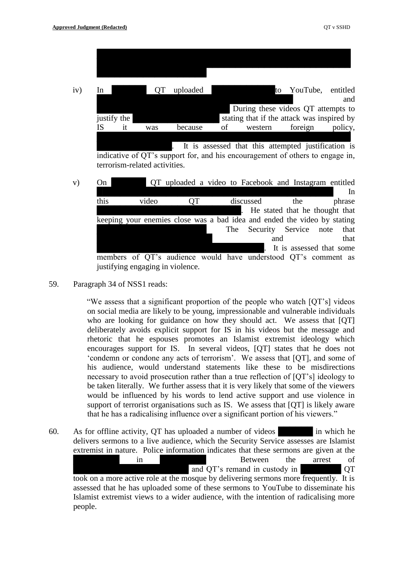| iv) | In          |    |     | uploaded |    |                                                     | to | YouTube, | entitled |
|-----|-------------|----|-----|----------|----|-----------------------------------------------------|----|----------|----------|
|     |             |    |     |          |    |                                                     |    |          | and      |
|     |             |    |     |          |    | During these videos QT attempts to                  |    |          |          |
|     | justify the |    |     |          |    | stating that if the attack was inspired by          |    |          |          |
|     | IS          | it | was | because  | οf | western                                             |    | foreign  | policy,  |
|     |             |    |     |          |    |                                                     |    |          |          |
|     |             |    |     |          |    | It is assessed that this attempted justification is |    |          |          |

indicative of QT's support for, and his encouragement of others to engage in, terrorism-related activities.



59. Paragraph 34 of NSS1 reads:

"We assess that a significant proportion of the people who watch [QT's] videos on social media are likely to be young, impressionable and vulnerable individuals who are looking for guidance on how they should act. We assess that [QT] deliberately avoids explicit support for IS in his videos but the message and rhetoric that he espouses promotes an Islamist extremist ideology which encourages support for IS. In several videos, [QT] states that he does not 'condemn or condone any acts of terrorism'. We assess that [QT], and some of his audience, would understand statements like these to be misdirections necessary to avoid prosecution rather than a true reflection of [QT's] ideology to be taken literally. We further assess that it is very likely that some of the viewers would be influenced by his words to lend active support and use violence in support of terrorist organisations such as IS. We assess that [QT] is likely aware that he has a radicalising influence over a significant portion of his viewers."

60. As for offline activity, QT has uploaded a number of videos in which he delivers sermons to a live audience, which the Security Service assesses are Islamist extremist in nature. Police information indicates that these sermons are given at the example in the arrest of Between the arrest of and QT's remand in custody in **QT** took on a more active role at the mosque by delivering sermons more frequently. It is assessed that he has uploaded some of these sermons to YouTube to disseminate his Islamist extremist views to a wider audience, with the intention of radicalising more people.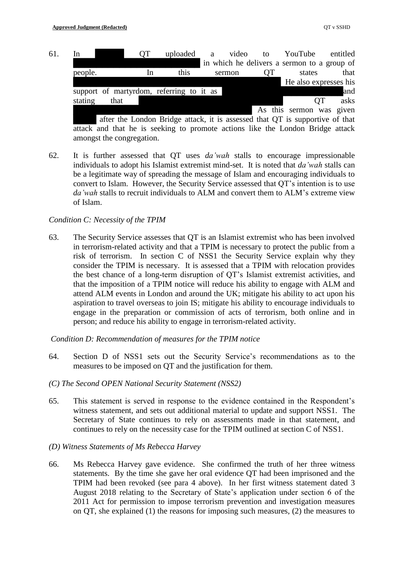61. In QT uploaded a video to YouTube entitled in which he delivers a sermon to a group of people. In this sermon QT states that He also expresses his support of martyrdom, referring to it as **Exercise** and and stating that **Department of the EXES** asks As this sermon was given

after the London Bridge attack, it is assessed that OT is supportive of that attack and that he is seeking to promote actions like the London Bridge attack amongst the congregation.

62. It is further assessed that QT uses *da'wah* stalls to encourage impressionable individuals to adopt his Islamist extremist mind-set. It is noted that *da'wah* stalls can be a legitimate way of spreading the message of Islam and encouraging individuals to convert to Islam. However, the Security Service assessed that QT's intention is to use *da'wah* stalls to recruit individuals to ALM and convert them to ALM's extreme view of Islam.

# *Condition C: Necessity of the TPIM*

63. The Security Service assesses that QT is an Islamist extremist who has been involved in terrorism-related activity and that a TPIM is necessary to protect the public from a risk of terrorism. In section C of NSS1 the Security Service explain why they consider the TPIM is necessary. It is assessed that a TPIM with relocation provides the best chance of a long-term disruption of QT's Islamist extremist activities, and that the imposition of a TPIM notice will reduce his ability to engage with ALM and attend ALM events in London and around the UK; mitigate his ability to act upon his aspiration to travel overseas to join IS; mitigate his ability to encourage individuals to engage in the preparation or commission of acts of terrorism, both online and in person; and reduce his ability to engage in terrorism-related activity.

*Condition D: Recommendation of measures for the TPIM notice*

- 64. Section D of NSS1 sets out the Security Service's recommendations as to the measures to be imposed on QT and the justification for them.
- *(C) The Second OPEN National Security Statement (NSS2)*
- 65. This statement is served in response to the evidence contained in the Respondent's witness statement, and sets out additional material to update and support NSS1. The Secretary of State continues to rely on assessments made in that statement, and continues to rely on the necessity case for the TPIM outlined at section C of NSS1.
- *(D) Witness Statements of Ms Rebecca Harvey*
- 66. Ms Rebecca Harvey gave evidence. She confirmed the truth of her three witness statements. By the time she gave her oral evidence QT had been imprisoned and the TPIM had been revoked (see para 4 above). In her first witness statement dated 3 August 2018 relating to the Secretary of State's application under section 6 of the 2011 Act for permission to impose terrorism prevention and investigation measures on QT, she explained (1) the reasons for imposing such measures, (2) the measures to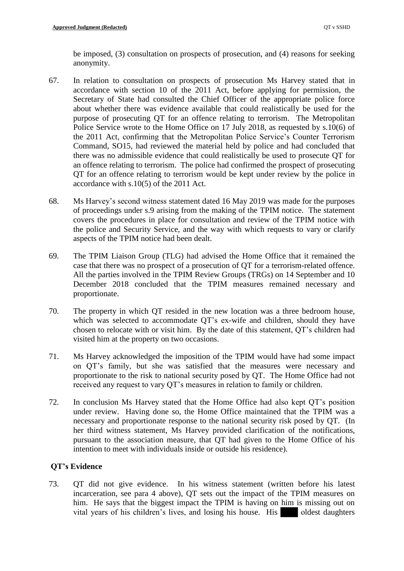be imposed, (3) consultation on prospects of prosecution, and (4) reasons for seeking anonymity.

- 67. In relation to consultation on prospects of prosecution Ms Harvey stated that in accordance with section 10 of the 2011 Act, before applying for permission, the Secretary of State had consulted the Chief Officer of the appropriate police force about whether there was evidence available that could realistically be used for the purpose of prosecuting QT for an offence relating to terrorism. The Metropolitan Police Service wrote to the Home Office on 17 July 2018, as requested by s.10(6) of the 2011 Act, confirming that the Metropolitan Police Service's Counter Terrorism Command, SO15, had reviewed the material held by police and had concluded that there was no admissible evidence that could realistically be used to prosecute QT for an offence relating to terrorism. The police had confirmed the prospect of prosecuting QT for an offence relating to terrorism would be kept under review by the police in accordance with s.10(5) of the 2011 Act.
- 68. Ms Harvey's second witness statement dated 16 May 2019 was made for the purposes of proceedings under s.9 arising from the making of the TPIM notice. The statement covers the procedures in place for consultation and review of the TPIM notice with the police and Security Service, and the way with which requests to vary or clarify aspects of the TPIM notice had been dealt.
- 69. The TPIM Liaison Group (TLG) had advised the Home Office that it remained the case that there was no prospect of a prosecution of QT for a terrorism-related offence. All the parties involved in the TPIM Review Groups (TRGs) on 14 September and 10 December 2018 concluded that the TPIM measures remained necessary and proportionate.
- 70. The property in which QT resided in the new location was a three bedroom house, which was selected to accommodate QT's ex-wife and children, should they have chosen to relocate with or visit him. By the date of this statement, QT's children had visited him at the property on two occasions.
- 71. Ms Harvey acknowledged the imposition of the TPIM would have had some impact on QT's family, but she was satisfied that the measures were necessary and proportionate to the risk to national security posed by QT. The Home Office had not received any request to vary QT's measures in relation to family or children.
- 72. In conclusion Ms Harvey stated that the Home Office had also kept QT's position under review. Having done so, the Home Office maintained that the TPIM was a necessary and proportionate response to the national security risk posed by QT. (In her third witness statement, Ms Harvey provided clarification of the notifications, pursuant to the association measure, that QT had given to the Home Office of his intention to meet with individuals inside or outside his residence).

# **QT's Evidence**

73. QT did not give evidence. In his witness statement (written before his latest incarceration, see para 4 above), QT sets out the impact of the TPIM measures on him. He says that the biggest impact the TPIM is having on him is missing out on vital years of his children's lives, and losing his house. His a oldest daughters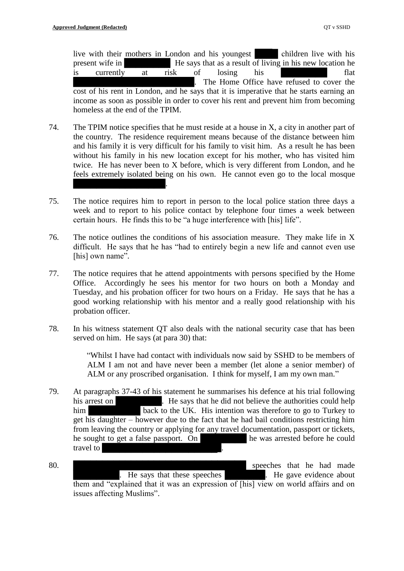live with their mothers in London and his youngest children live with his present wife in **EXECUTE:** He says that as a result of living in his new location he is currently at risk of losing his metallical flat The Home Office have refused to cover the cost of his rent in London, and he says that it is imperative that he starts earning an income as soon as possible in order to cover his rent and prevent him from becoming homeless at the end of the TPIM.

- 74. The TPIM notice specifies that he must reside at a house in X, a city in another part of the country. The residence requirement means because of the distance between him and his family it is very difficult for his family to visit him. As a result he has been without his family in his new location except for his mother, who has visited him twice. He has never been to X before, which is very different from London, and he feels extremely isolated being on his own. He cannot even go to the local mosque ████████████████.
- 75. The notice requires him to report in person to the local police station three days a week and to report to his police contact by telephone four times a week between certain hours. He finds this to be "a huge interference with [his] life".
- 76. The notice outlines the conditions of his association measure. They make life in X difficult. He says that he has "had to entirely begin a new life and cannot even use [his] own name".
- 77. The notice requires that he attend appointments with persons specified by the Home Office. Accordingly he sees his mentor for two hours on both a Monday and Tuesday, and his probation officer for two hours on a Friday. He says that he has a good working relationship with his mentor and a really good relationship with his probation officer.
- 78. In his witness statement QT also deals with the national security case that has been served on him. He says (at para 30) that:

"Whilst I have had contact with individuals now said by SSHD to be members of ALM I am not and have never been a member (let alone a senior member) of ALM or any proscribed organisation. I think for myself, I am my own man."

- 79. At paragraphs 37-43 of his statement he summarises his defence at his trial following his arrest on **E** E says that he did not believe the authorities could help him back to the UK. His intention was therefore to go to Turkey to get his daughter – however due to the fact that he had bail conditions restricting him from leaving the country or applying for any travel documentation, passport or tickets, he sought to get a false passport. On **Example 2** he was arrested before he could travel to
- 80. **BEER**  $\blacksquare$  Speeches that he had made ERE Says that these speeches **ERE ARE SERVICE** EXECUTE: He gave evidence about them and "explained that it was an expression of [his] view on world affairs and on issues affecting Muslims".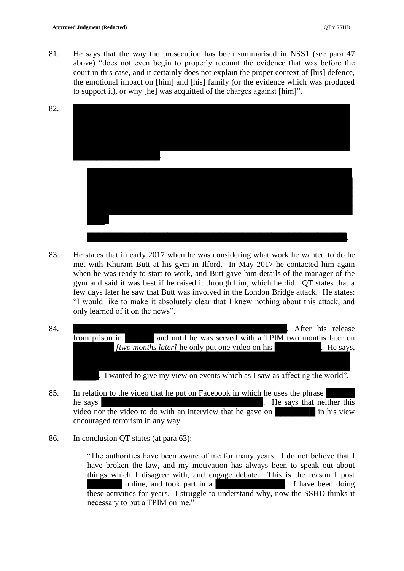81. He says that the way the prosecution has been summarised in NSS1 (see para 47 above) "does not even begin to properly recount the evidence that was before the court in this case, and it certainly does not explain the proper context of [his] defence, the emotional impact on [him] and [his] family (or the evidence which was produced to support it), or why [he] was acquitted of the charges against [him]".



- 83. He states that in early 2017 when he was considering what work he wanted to do he met with Khuram Butt at his gym in Ilford. In May 2017 he contacted him again when he was ready to start to work, and Butt gave him details of the manager of the gym and said it was best if he raised it through him, which he did. QT states that a few days later he saw that Butt was involved in the London Bridge attack. He states: "I would like to make it absolutely clear that I knew nothing about this attack, and only learned of it on the news".
- 84. Been also been approximately approximately a set of the set of the set of the set of the set of the set of the set of the set of the set of the set of the set of the set of the set of the set of the set of the set of t from prison in and until he was served with a TPIM two months later on *[two months later]* he only put one video on his **E** P He says, I wanted to give my view on events which as I saw as affecting the world".
- 85. In relation to the video that he put on Facebook in which he uses the phrase he says **EXECUTE:** He says that neither this video nor the video to do with an interview that he gave on **Exercise** in his view encouraged terrorism in any way.
- 86. In conclusion QT states (at para 63):

"The authorities have been aware of me for many years. I do not believe that I have broken the law, and my motivation has always been to speak out about things which I disagree with, and engage debate. This is the reason I post noline, and took part in a **E** R is not been doing a **E** I have been doing these activities for years. I struggle to understand why, now the SSHD thinks it necessary to put a TPIM on me."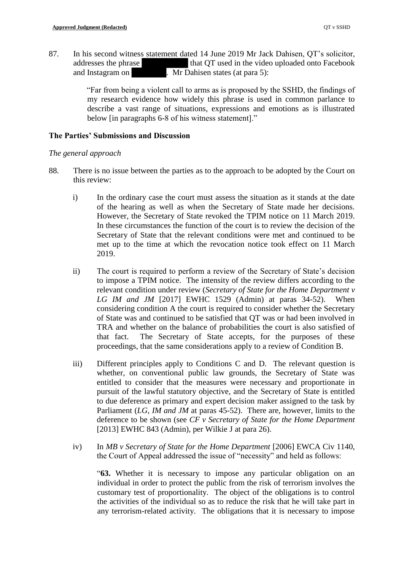87. In his second witness statement dated 14 June 2019 Mr Jack Dahisen, QT's solicitor, addresses the phrase the that QT used in the video uploaded onto Facebook and Instagram on  $\overline{\text{Mr D}}$  Dahisen states (at para 5):

> "Far from being a violent call to arms as is proposed by the SSHD, the findings of my research evidence how widely this phrase is used in common parlance to describe a vast range of situations, expressions and emotions as is illustrated below [in paragraphs 6-8 of his witness statement]."

#### **The Parties' Submissions and Discussion**

#### *The general approach*

- 88. There is no issue between the parties as to the approach to be adopted by the Court on this review:
	- i) In the ordinary case the court must assess the situation as it stands at the date of the hearing as well as when the Secretary of State made her decisions. However, the Secretary of State revoked the TPIM notice on 11 March 2019. In these circumstances the function of the court is to review the decision of the Secretary of State that the relevant conditions were met and continued to be met up to the time at which the revocation notice took effect on 11 March 2019.
	- ii) The court is required to perform a review of the Secretary of State's decision to impose a TPIM notice. The intensity of the review differs according to the relevant condition under review (*Secretary of State for the Home Department v LG IM and JM* [2017] EWHC 1529 (Admin) at paras 34-52). When considering condition A the court is required to consider whether the Secretary of State was and continued to be satisfied that QT was or had been involved in TRA and whether on the balance of probabilities the court is also satisfied of that fact. The Secretary of State accepts, for the purposes of these proceedings, that the same considerations apply to a review of Condition B.
	- iii) Different principles apply to Conditions C and D. The relevant question is whether, on conventional public law grounds, the Secretary of State was entitled to consider that the measures were necessary and proportionate in pursuit of the lawful statutory objective, and the Secretary of State is entitled to due deference as primary and expert decision maker assigned to the task by Parliament (*LG, IM and JM* at paras 45-52). There are, however, limits to the deference to be shown (see *CF v Secretary of State for the Home Department* [2013] EWHC 843 (Admin), per Wilkie J at para 26).
	- iv) In *MB v Secretary of State for the Home Department* [2006] EWCA Civ 1140, the Court of Appeal addressed the issue of "necessity" and held as follows:

"**63.** Whether it is necessary to impose any particular obligation on an individual in order to protect the public from the risk of terrorism involves the customary test of proportionality. The object of the obligations is to control the activities of the individual so as to reduce the risk that he will take part in any terrorism-related activity. The obligations that it is necessary to impose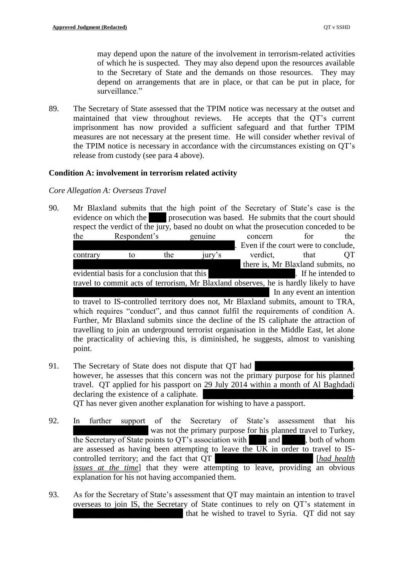may depend upon the nature of the involvement in terrorism-related activities of which he is suspected. They may also depend upon the resources available to the Secretary of State and the demands on those resources. They may depend on arrangements that are in place, or that can be put in place, for surveillance."

89. The Secretary of State assessed that the TPIM notice was necessary at the outset and maintained that view throughout reviews. He accepts that the QT's current imprisonment has now provided a sufficient safeguard and that further TPIM measures are not necessary at the present time. He will consider whether revival of the TPIM notice is necessary in accordance with the circumstances existing on QT's release from custody (see para 4 above).

# **Condition A: involvement in terrorism related activity**

## *Core Allegation A: Overseas Travel*

90. Mr Blaxland submits that the high point of the Secretary of State's case is the evidence on which the **prosecution was based**. He submits that the court should respect the verdict of the jury, based no doubt on what the prosecution conceded to be the Respondent's genuine concern for the Even if the court were to conclude. contrary to the jury's verdict, that QT there is, Mr Blaxland submits, no evidential basis for a conclusion that this **Exercise 2.** If he intended to travel to commit acts of terrorism, Mr Blaxland observes, he is hardly likely to have In any event an intention to travel to IS-controlled territory does not, Mr Blaxland submits, amount to TRA,

which requires "conduct", and thus cannot fulfil the requirements of condition A. Further, Mr Blaxland submits since the decline of the IS caliphate the attraction of travelling to join an underground terrorist organisation in the Middle East, let alone the practicality of achieving this, is diminished, he suggests, almost to vanishing point.

- 91. The Secretary of State does not dispute that QT had however, he assesses that this concern was not the primary purpose for his planned travel. QT applied for his passport on 29 July 2014 within a month of Al Baghdadi declaring the existence of a caliphate. QT has never given another explanation for wishing to have a passport.
- 92. In further support of the Secretary of State's assessment that his was not the primary purpose for his planned travel to Turkey, the Secretary of State points to  $QT$ 's association with and  $\qquad$ , both of whom are assessed as having been attempting to leave the UK in order to travel to IScontrolled territory; and the fact that QT **E** [*had health* **[***had health issues at the time*] that they were attempting to leave, providing an obvious explanation for his not having accompanied them.
- 93. As for the Secretary of State's assessment that QT may maintain an intention to travel overseas to join IS, the Secretary of State continues to rely on QT's statement in that he wished to travel to Syria. QT did not say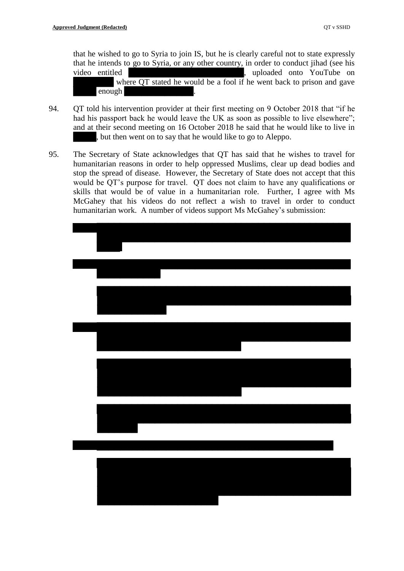that he wished to go to Syria to join IS, but he is clearly careful not to state expressly that he intends to go to Syria, or any other country, in order to conduct jihad (see his video entitled **EXECUSE ENECUS**, uploaded onto YouTube on where QT stated he would be a fool if he went back to prison and gave enough

- 94. QT told his intervention provider at their first meeting on 9 October 2018 that "if he had his passport back he would leave the UK as soon as possible to live elsewhere"; and at their second meeting on 16 October 2018 he said that he would like to live in , but then went on to say that he would like to go to Aleppo.
- 95. The Secretary of State acknowledges that QT has said that he wishes to travel for humanitarian reasons in order to help oppressed Muslims, clear up dead bodies and stop the spread of disease. However, the Secretary of State does not accept that this would be QT's purpose for travel. QT does not claim to have any qualifications or skills that would be of value in a humanitarian role. Further, I agree with Ms McGahey that his videos do not reflect a wish to travel in order to conduct humanitarian work. A number of videos support Ms McGahey's submission: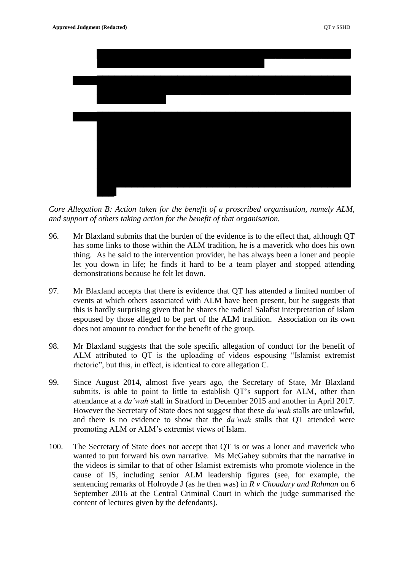

*Core Allegation B: Action taken for the benefit of a proscribed organisation, namely ALM, and support of others taking action for the benefit of that organisation.*

- 96. Mr Blaxland submits that the burden of the evidence is to the effect that, although QT has some links to those within the ALM tradition, he is a maverick who does his own thing. As he said to the intervention provider, he has always been a loner and people let you down in life; he finds it hard to be a team player and stopped attending demonstrations because he felt let down.
- 97. Mr Blaxland accepts that there is evidence that QT has attended a limited number of events at which others associated with ALM have been present, but he suggests that this is hardly surprising given that he shares the radical Salafist interpretation of Islam espoused by those alleged to be part of the ALM tradition. Association on its own does not amount to conduct for the benefit of the group.
- 98. Mr Blaxland suggests that the sole specific allegation of conduct for the benefit of ALM attributed to QT is the uploading of videos espousing "Islamist extremist rhetoric", but this, in effect, is identical to core allegation C.
- 99. Since August 2014, almost five years ago, the Secretary of State, Mr Blaxland submits, is able to point to little to establish QT's support for ALM, other than attendance at a *da'wah* stall in Stratford in December 2015 and another in April 2017. However the Secretary of State does not suggest that these *da'wah* stalls are unlawful, and there is no evidence to show that the *da'wah* stalls that QT attended were promoting ALM or ALM's extremist views of Islam.
- 100. The Secretary of State does not accept that QT is or was a loner and maverick who wanted to put forward his own narrative. Ms McGahey submits that the narrative in the videos is similar to that of other Islamist extremists who promote violence in the cause of IS, including senior ALM leadership figures (see, for example, the sentencing remarks of Holroyde J (as he then was) in *R v Choudary and Rahman* on 6 September 2016 at the Central Criminal Court in which the judge summarised the content of lectures given by the defendants).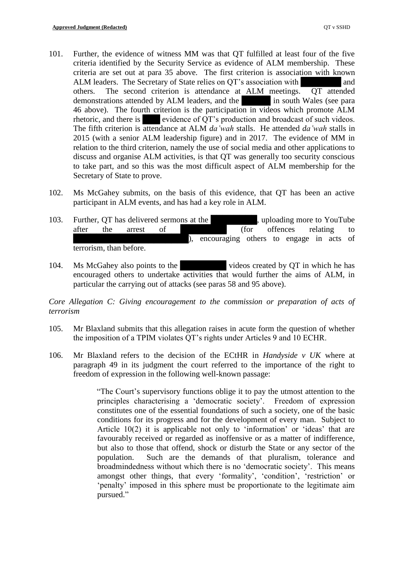- 101. Further, the evidence of witness MM was that QT fulfilled at least four of the five criteria identified by the Security Service as evidence of ALM membership. These criteria are set out at para 35 above. The first criterion is association with known ALM leaders. The Secretary of State relies on QT's association with and others. The second criterion is attendance at ALM meetings. QT attended demonstrations attended by ALM leaders, and the **E** in south Wales (see para 46 above). The fourth criterion is the participation in videos which promote ALM rhetoric, and there is evidence of QT's production and broadcast of such videos. The fifth criterion is attendance at ALM *da'wah* stalls. He attended *da'wah* stalls in 2015 (with a senior ALM leadership figure) and in 2017. The evidence of MM in relation to the third criterion, namely the use of social media and other applications to discuss and organise ALM activities, is that QT was generally too security conscious to take part, and so this was the most difficult aspect of ALM membership for the Secretary of State to prove.
- 102. Ms McGahey submits, on the basis of this evidence, that QT has been an active participant in ALM events, and has had a key role in ALM.
- 103. Further, QT has delivered sermons at the sermon subsetsual property of YouTube after the arrest of **EXECUTE 1** (for offences relating to encouraging others to engage in acts of terrorism, than before.
- 104. Ms McGahey also points to the videos created by QT in which he has encouraged others to undertake activities that would further the aims of ALM, in particular the carrying out of attacks (see paras 58 and 95 above).

*Core Allegation C: Giving encouragement to the commission or preparation of acts of terrorism*

- 105. Mr Blaxland submits that this allegation raises in acute form the question of whether the imposition of a TPIM violates QT's rights under Articles 9 and 10 ECHR.
- 106. Mr Blaxland refers to the decision of the ECtHR in *Handyside v UK* where at paragraph 49 in its judgment the court referred to the importance of the right to freedom of expression in the following well-known passage:

"The Court's supervisory functions oblige it to pay the utmost attention to the principles characterising a 'democratic society'. Freedom of expression constitutes one of the essential foundations of such a society, one of the basic conditions for its progress and for the development of every man. Subject to Article 10(2) it is applicable not only to 'information' or 'ideas' that are favourably received or regarded as inoffensive or as a matter of indifference, but also to those that offend, shock or disturb the State or any sector of the population. Such are the demands of that pluralism, tolerance and broadmindedness without which there is no 'democratic society'. This means amongst other things, that every 'formality', 'condition', 'restriction' or 'penalty' imposed in this sphere must be proportionate to the legitimate aim pursued."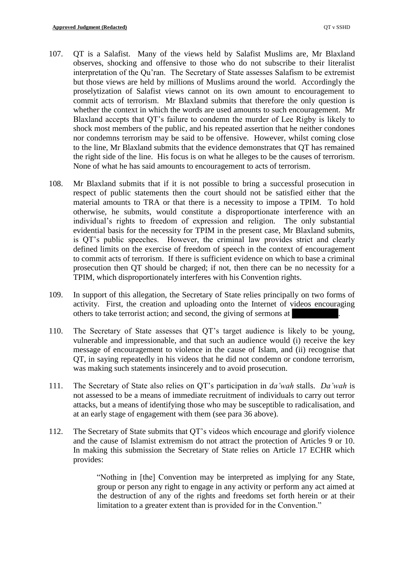- 107. QT is a Salafist. Many of the views held by Salafist Muslims are, Mr Blaxland observes, shocking and offensive to those who do not subscribe to their literalist interpretation of the Qu'ran. The Secretary of State assesses Salafism to be extremist but those views are held by millions of Muslims around the world. Accordingly the proselytization of Salafist views cannot on its own amount to encouragement to commit acts of terrorism. Mr Blaxland submits that therefore the only question is whether the context in which the words are used amounts to such encouragement. Mr Blaxland accepts that QT's failure to condemn the murder of Lee Rigby is likely to shock most members of the public, and his repeated assertion that he neither condones nor condemns terrorism may be said to be offensive. However, whilst coming close to the line, Mr Blaxland submits that the evidence demonstrates that QT has remained the right side of the line. His focus is on what he alleges to be the causes of terrorism. None of what he has said amounts to encouragement to acts of terrorism.
- 108. Mr Blaxland submits that if it is not possible to bring a successful prosecution in respect of public statements then the court should not be satisfied either that the material amounts to TRA or that there is a necessity to impose a TPIM. To hold otherwise, he submits, would constitute a disproportionate interference with an individual's rights to freedom of expression and religion. The only substantial evidential basis for the necessity for TPIM in the present case, Mr Blaxland submits, is QT's public speeches. However, the criminal law provides strict and clearly defined limits on the exercise of freedom of speech in the context of encouragement to commit acts of terrorism. If there is sufficient evidence on which to base a criminal prosecution then QT should be charged; if not, then there can be no necessity for a TPIM, which disproportionately interferes with his Convention rights.
- 109. In support of this allegation, the Secretary of State relies principally on two forms of activity. First, the creation and uploading onto the Internet of videos encouraging others to take terrorist action; and second, the giving of sermons at
- 110. The Secretary of State assesses that QT's target audience is likely to be young, vulnerable and impressionable, and that such an audience would (i) receive the key message of encouragement to violence in the cause of Islam, and (ii) recognise that QT, in saying repeatedly in his videos that he did not condemn or condone terrorism, was making such statements insincerely and to avoid prosecution.
- 111. The Secretary of State also relies on QT's participation in *da'wah* stalls. *Da'wah* is not assessed to be a means of immediate recruitment of individuals to carry out terror attacks, but a means of identifying those who may be susceptible to radicalisation, and at an early stage of engagement with them (see para 36 above).
- 112. The Secretary of State submits that QT's videos which encourage and glorify violence and the cause of Islamist extremism do not attract the protection of Articles 9 or 10. In making this submission the Secretary of State relies on Article 17 ECHR which provides:

"Nothing in [the] Convention may be interpreted as implying for any State, group or person any right to engage in any activity or perform any act aimed at the destruction of any of the rights and freedoms set forth herein or at their limitation to a greater extent than is provided for in the Convention."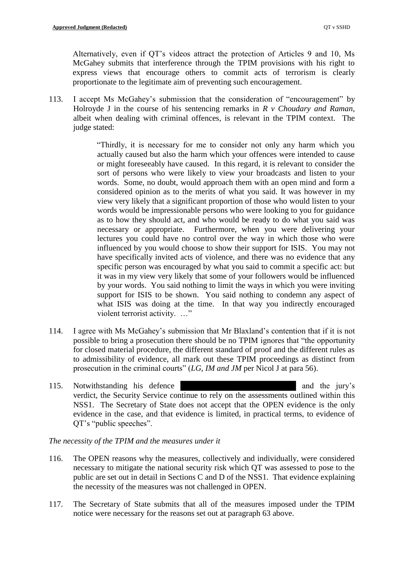Alternatively, even if QT's videos attract the protection of Articles 9 and 10, Ms McGahey submits that interference through the TPIM provisions with his right to express views that encourage others to commit acts of terrorism is clearly proportionate to the legitimate aim of preventing such encouragement.

113. I accept Ms McGahey's submission that the consideration of "encouragement" by Holroyde J in the course of his sentencing remarks in *R v Choudary and Raman*, albeit when dealing with criminal offences, is relevant in the TPIM context. The judge stated:

> "Thirdly, it is necessary for me to consider not only any harm which you actually caused but also the harm which your offences were intended to cause or might foreseeably have caused. In this regard, it is relevant to consider the sort of persons who were likely to view your broadcasts and listen to your words. Some, no doubt, would approach them with an open mind and form a considered opinion as to the merits of what you said. It was however in my view very likely that a significant proportion of those who would listen to your words would be impressionable persons who were looking to you for guidance as to how they should act, and who would be ready to do what you said was necessary or appropriate. Furthermore, when you were delivering your lectures you could have no control over the way in which those who were influenced by you would choose to show their support for ISIS. You may not have specifically invited acts of violence, and there was no evidence that any specific person was encouraged by what you said to commit a specific act: but it was in my view very likely that some of your followers would be influenced by your words. You said nothing to limit the ways in which you were inviting support for ISIS to be shown. You said nothing to condemn any aspect of what ISIS was doing at the time. In that way you indirectly encouraged violent terrorist activity. …"

- 114. I agree with Ms McGahey's submission that Mr Blaxland's contention that if it is not possible to bring a prosecution there should be no TPIM ignores that "the opportunity for closed material procedure, the different standard of proof and the different rules as to admissibility of evidence, all mark out these TPIM proceedings as distinct from prosecution in the criminal courts" (*LG, IM and JM* per Nicol J at para 56).
- 115. Notwithstanding his defence and the jury's verdict, the Security Service continue to rely on the assessments outlined within this NSS1. The Secretary of State does not accept that the OPEN evidence is the only evidence in the case, and that evidence is limited, in practical terms, to evidence of QT's "public speeches".

*The necessity of the TPIM and the measures under it* 

- 116. The OPEN reasons why the measures, collectively and individually, were considered necessary to mitigate the national security risk which QT was assessed to pose to the public are set out in detail in Sections C and D of the NSS1. That evidence explaining the necessity of the measures was not challenged in OPEN.
- 117. The Secretary of State submits that all of the measures imposed under the TPIM notice were necessary for the reasons set out at paragraph 63 above.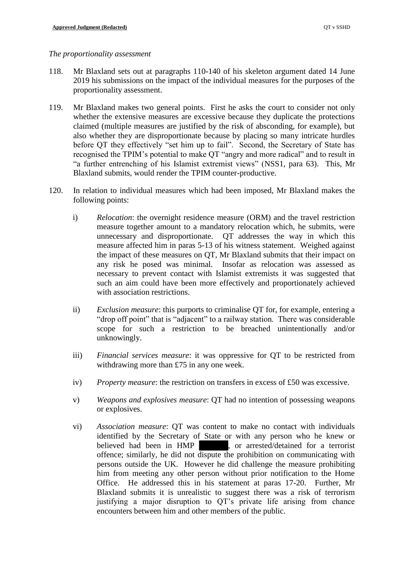#### *The proportionality assessment*

- 118. Mr Blaxland sets out at paragraphs 110-140 of his skeleton argument dated 14 June 2019 his submissions on the impact of the individual measures for the purposes of the proportionality assessment.
- 119. Mr Blaxland makes two general points. First he asks the court to consider not only whether the extensive measures are excessive because they duplicate the protections claimed (multiple measures are justified by the risk of absconding, for example), but also whether they are disproportionate because by placing so many intricate hurdles before QT they effectively "set him up to fail". Second, the Secretary of State has recognised the TPIM's potential to make QT "angry and more radical" and to result in "a further entrenching of his Islamist extremist views" (NSS1, para 63). This, Mr Blaxland submits, would render the TPIM counter-productive.
- 120. In relation to individual measures which had been imposed, Mr Blaxland makes the following points:
	- i) *Relocation*: the overnight residence measure (ORM) and the travel restriction measure together amount to a mandatory relocation which, he submits, were unnecessary and disproportionate. QT addresses the way in which this measure affected him in paras 5-13 of his witness statement. Weighed against the impact of these measures on QT, Mr Blaxland submits that their impact on any risk he posed was minimal. Insofar as relocation was assessed as necessary to prevent contact with Islamist extremists it was suggested that such an aim could have been more effectively and proportionately achieved with association restrictions.
	- ii) *Exclusion measure*: this purports to criminalise QT for, for example, entering a "drop off point" that is "adjacent" to a railway station. There was considerable scope for such a restriction to be breached unintentionally and/or unknowingly.
	- iii) *Financial services measure*: it was oppressive for QT to be restricted from withdrawing more than £75 in any one week.
	- iv) *Property measure*: the restriction on transfers in excess of £50 was excessive.
	- v) *Weapons and explosives measure*: QT had no intention of possessing weapons or explosives.
	- vi) *Association measure*: QT was content to make no contact with individuals identified by the Secretary of State or with any person who he knew or believed had been in HMP subsetsual contract a terrorist believed had been in HMP offence; similarly, he did not dispute the prohibition on communicating with persons outside the UK. However he did challenge the measure prohibiting him from meeting any other person without prior notification to the Home Office. He addressed this in his statement at paras 17-20. Further, Mr Blaxland submits it is unrealistic to suggest there was a risk of terrorism justifying a major disruption to QT's private life arising from chance encounters between him and other members of the public.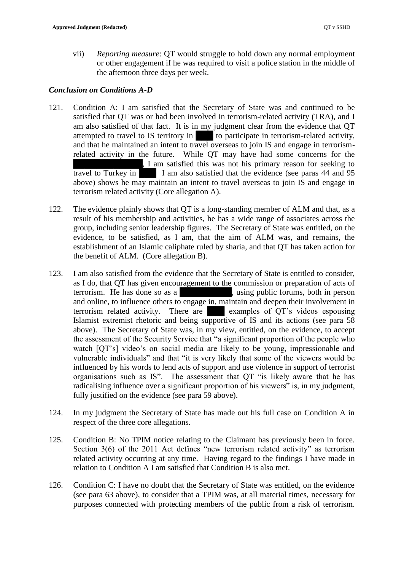vii) *Reporting measure*: QT would struggle to hold down any normal employment or other engagement if he was required to visit a police station in the middle of the afternoon three days per week.

## *Conclusion on Conditions A-D*

- 121. Condition A: I am satisfied that the Secretary of State was and continued to be satisfied that QT was or had been involved in terrorism-related activity (TRA), and I am also satisfied of that fact. It is in my judgment clear from the evidence that QT attempted to travel to IS territory in to participate in terrorism-related activity, and that he maintained an intent to travel overseas to join IS and engage in terrorismrelated activity in the future. While QT may have had some concerns for the ████████████, I am satisfied this was not his primary reason for seeking to travel to Turkey in I am also satisfied that the evidence (see paras 44 and 95 above) shows he may maintain an intent to travel overseas to join IS and engage in terrorism related activity (Core allegation A).
- 122. The evidence plainly shows that QT is a long-standing member of ALM and that, as a result of his membership and activities, he has a wide range of associates across the group, including senior leadership figures. The Secretary of State was entitled, on the evidence, to be satisfied, as I am, that the aim of ALM was, and remains, the establishment of an Islamic caliphate ruled by sharia, and that QT has taken action for the benefit of ALM. (Core allegation B).
- 123. I am also satisfied from the evidence that the Secretary of State is entitled to consider, as I do, that QT has given encouragement to the commission or preparation of acts of terrorism. He has done so as a subset of subset of subset of solution of the person statements. and online, to influence others to engage in, maintain and deepen their involvement in terrorism related activity. There are  $\blacksquare$  examples of QT's videos espousing Islamist extremist rhetoric and being supportive of IS and its actions (see para 58 above). The Secretary of State was, in my view, entitled, on the evidence, to accept the assessment of the Security Service that "a significant proportion of the people who watch [QT's] video's on social media are likely to be young, impressionable and vulnerable individuals" and that "it is very likely that some of the viewers would be influenced by his words to lend acts of support and use violence in support of terrorist organisations such as IS". The assessment that QT "is likely aware that he has radicalising influence over a significant proportion of his viewers" is, in my judgment, fully justified on the evidence (see para 59 above).
- 124. In my judgment the Secretary of State has made out his full case on Condition A in respect of the three core allegations.
- 125. Condition B: No TPIM notice relating to the Claimant has previously been in force. Section 3(6) of the 2011 Act defines "new terrorism related activity" as terrorism related activity occurring at any time. Having regard to the findings I have made in relation to Condition A I am satisfied that Condition B is also met.
- 126. Condition C: I have no doubt that the Secretary of State was entitled, on the evidence (see para 63 above), to consider that a TPIM was, at all material times, necessary for purposes connected with protecting members of the public from a risk of terrorism.